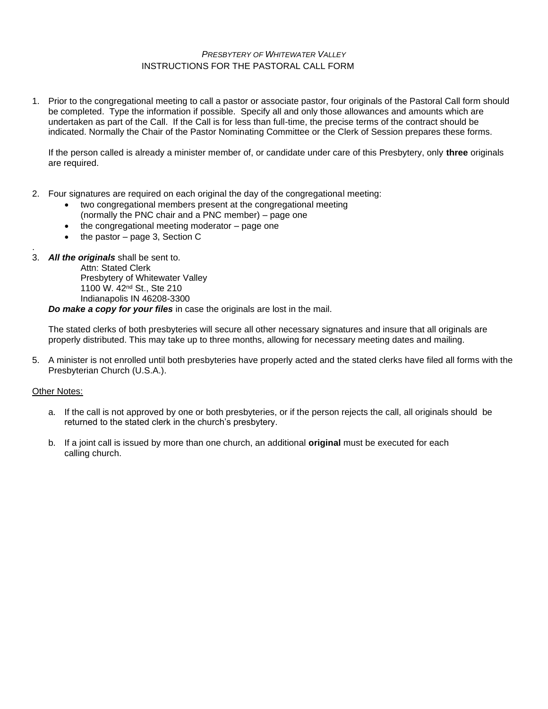### *PRESBYTERY OF WHITEWATER VALLEY* INSTRUCTIONS FOR THE PASTORAL CALL FORM

1. Prior to the congregational meeting to call a pastor or associate pastor, four originals of the Pastoral Call form should be completed. Type the information if possible. Specify all and only those allowances and amounts which are undertaken as part of the Call. If the Call is for less than full-time, the precise terms of the contract should be indicated. Normally the Chair of the Pastor Nominating Committee or the Clerk of Session prepares these forms.

If the person called is already a minister member of, or candidate under care of this Presbytery, only **three** originals are required.

- 2. Four signatures are required on each original the day of the congregational meeting:
	- two congregational members present at the congregational meeting (normally the PNC chair and a PNC member) – page one
	- the congregational meeting moderator page one
	- the pastor page 3, Section C
- . 3. *All the originals* shall be sent to.

Attn: Stated Clerk Presbytery of Whitewater Valley 1100 W. 42nd St., Ste 210 Indianapolis IN 46208-3300

*Do make a copy for your files* in case the originals are lost in the mail.

The stated clerks of both presbyteries will secure all other necessary signatures and insure that all originals are properly distributed. This may take up to three months, allowing for necessary meeting dates and mailing.

5. A minister is not enrolled until both presbyteries have properly acted and the stated clerks have filed all forms with the Presbyterian Church (U.S.A.).

#### Other Notes:

- a. If the call is not approved by one or both presbyteries, or if the person rejects the call, all originals should be returned to the stated clerk in the church's presbytery.
- b. If a joint call is issued by more than one church, an additional **original** must be executed for each calling church.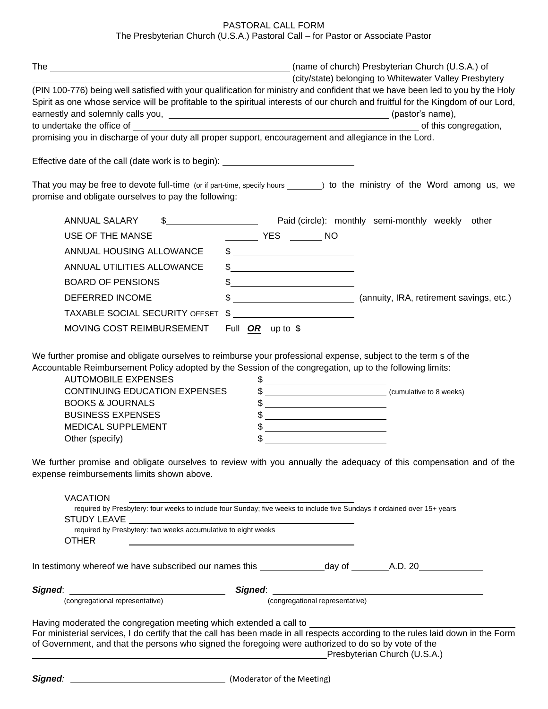# PASTORAL CALL FORM

The Presbyterian Church (U.S.A.) Pastoral Call – for Pastor or Associate Pastor

|                                                                                                                                                                                                                                                                         |                                                                                                                                                                                                                                                                                                                                                                                                                                 |                                                                                                                                                                                                                                                                                                                                                                                                                                                                                                                                                                                                                                                             | (name of church) Presbyterian Church (U.S.A.) of       |
|-------------------------------------------------------------------------------------------------------------------------------------------------------------------------------------------------------------------------------------------------------------------------|---------------------------------------------------------------------------------------------------------------------------------------------------------------------------------------------------------------------------------------------------------------------------------------------------------------------------------------------------------------------------------------------------------------------------------|-------------------------------------------------------------------------------------------------------------------------------------------------------------------------------------------------------------------------------------------------------------------------------------------------------------------------------------------------------------------------------------------------------------------------------------------------------------------------------------------------------------------------------------------------------------------------------------------------------------------------------------------------------------|--------------------------------------------------------|
| (PIN 100-776) being well satisfied with your qualification for ministry and confident that we have been led to you by the Holy<br>Spirit as one whose service will be profitable to the spiritual interests of our church and fruitful for the Kingdom of our Lord,     |                                                                                                                                                                                                                                                                                                                                                                                                                                 |                                                                                                                                                                                                                                                                                                                                                                                                                                                                                                                                                                                                                                                             | (city/state) belonging to Whitewater Valley Presbytery |
|                                                                                                                                                                                                                                                                         |                                                                                                                                                                                                                                                                                                                                                                                                                                 |                                                                                                                                                                                                                                                                                                                                                                                                                                                                                                                                                                                                                                                             | of this congregation,                                  |
| promising you in discharge of your duty all proper support, encouragement and allegiance in the Lord.                                                                                                                                                                   |                                                                                                                                                                                                                                                                                                                                                                                                                                 |                                                                                                                                                                                                                                                                                                                                                                                                                                                                                                                                                                                                                                                             |                                                        |
| Effective date of the call (date work is to begin): ____________________________                                                                                                                                                                                        |                                                                                                                                                                                                                                                                                                                                                                                                                                 |                                                                                                                                                                                                                                                                                                                                                                                                                                                                                                                                                                                                                                                             |                                                        |
| That you may be free to devote full-time (or if part-time, specify hours _______) to the ministry of the Word among us, we<br>promise and obligate ourselves to pay the following:                                                                                      |                                                                                                                                                                                                                                                                                                                                                                                                                                 |                                                                                                                                                                                                                                                                                                                                                                                                                                                                                                                                                                                                                                                             |                                                        |
| <b>ANNUAL SALARY</b><br>\$                                                                                                                                                                                                                                              |                                                                                                                                                                                                                                                                                                                                                                                                                                 |                                                                                                                                                                                                                                                                                                                                                                                                                                                                                                                                                                                                                                                             | Paid (circle): monthly semi-monthly weekly other       |
| USE OF THE MANSE                                                                                                                                                                                                                                                        | _________ YES ________ NO                                                                                                                                                                                                                                                                                                                                                                                                       |                                                                                                                                                                                                                                                                                                                                                                                                                                                                                                                                                                                                                                                             |                                                        |
| ANNUAL HOUSING ALLOWANCE                                                                                                                                                                                                                                                |                                                                                                                                                                                                                                                                                                                                                                                                                                 |                                                                                                                                                                                                                                                                                                                                                                                                                                                                                                                                                                                                                                                             |                                                        |
| ANNUAL UTILITIES ALLOWANCE                                                                                                                                                                                                                                              | $\frac{1}{2}$ $\frac{1}{2}$ $\frac{1}{2}$ $\frac{1}{2}$ $\frac{1}{2}$ $\frac{1}{2}$ $\frac{1}{2}$ $\frac{1}{2}$ $\frac{1}{2}$ $\frac{1}{2}$ $\frac{1}{2}$ $\frac{1}{2}$ $\frac{1}{2}$ $\frac{1}{2}$ $\frac{1}{2}$ $\frac{1}{2}$ $\frac{1}{2}$ $\frac{1}{2}$ $\frac{1}{2}$ $\frac{1}{2}$ $\frac{1}{2}$ $\frac{1}{2}$                                                                                                             |                                                                                                                                                                                                                                                                                                                                                                                                                                                                                                                                                                                                                                                             |                                                        |
| <b>BOARD OF PENSIONS</b>                                                                                                                                                                                                                                                | $\frac{1}{2}$                                                                                                                                                                                                                                                                                                                                                                                                                   |                                                                                                                                                                                                                                                                                                                                                                                                                                                                                                                                                                                                                                                             |                                                        |
| DEFERRED INCOME                                                                                                                                                                                                                                                         |                                                                                                                                                                                                                                                                                                                                                                                                                                 |                                                                                                                                                                                                                                                                                                                                                                                                                                                                                                                                                                                                                                                             |                                                        |
| <b>TAXABLE SOCIAL SECURITY OFFSET</b>                                                                                                                                                                                                                                   | $\frac{1}{\sqrt{1-\frac{1}{2}}}\frac{1}{\sqrt{1-\frac{1}{2}}}\frac{1}{\sqrt{1-\frac{1}{2}}}\frac{1}{\sqrt{1-\frac{1}{2}}}\frac{1}{\sqrt{1-\frac{1}{2}}}\frac{1}{\sqrt{1-\frac{1}{2}}}\frac{1}{\sqrt{1-\frac{1}{2}}}\frac{1}{\sqrt{1-\frac{1}{2}}}\frac{1}{\sqrt{1-\frac{1}{2}}}\frac{1}{\sqrt{1-\frac{1}{2}}}\frac{1}{\sqrt{1-\frac{1}{2}}}\frac{1}{\sqrt{1-\frac{1}{2}}}\frac{1}{\sqrt{1-\frac{1}{2}}}\frac{1}{\sqrt{1-\frac{$ |                                                                                                                                                                                                                                                                                                                                                                                                                                                                                                                                                                                                                                                             |                                                        |
| MOVING COST REIMBURSEMENT                                                                                                                                                                                                                                               | Full $OR$ up to $\frac{1}{2}$                                                                                                                                                                                                                                                                                                                                                                                                   |                                                                                                                                                                                                                                                                                                                                                                                                                                                                                                                                                                                                                                                             |                                                        |
| <b>AUTOMOBILE EXPENSES</b><br><b>CONTINUING EDUCATION EXPENSES</b><br><b>BOOKS &amp; JOURNALS</b><br><b>BUSINESS EXPENSES</b><br><b>MEDICAL SUPPLEMENT</b><br>Other (specify)                                                                                           |                                                                                                                                                                                                                                                                                                                                                                                                                                 | $\frac{1}{2}$ $\frac{1}{2}$ $\frac{1}{2}$ $\frac{1}{2}$ $\frac{1}{2}$ $\frac{1}{2}$ $\frac{1}{2}$ $\frac{1}{2}$ $\frac{1}{2}$ $\frac{1}{2}$ $\frac{1}{2}$ $\frac{1}{2}$ $\frac{1}{2}$ $\frac{1}{2}$ $\frac{1}{2}$ $\frac{1}{2}$ $\frac{1}{2}$ $\frac{1}{2}$ $\frac{1}{2}$ $\frac{1}{2}$ $\frac{1}{2}$ $\frac{1}{2}$<br>$\frac{1}{2}$<br>$\frac{1}{2}$ $\frac{1}{2}$ $\frac{1}{2}$ $\frac{1}{2}$ $\frac{1}{2}$ $\frac{1}{2}$ $\frac{1}{2}$ $\frac{1}{2}$ $\frac{1}{2}$ $\frac{1}{2}$ $\frac{1}{2}$ $\frac{1}{2}$ $\frac{1}{2}$ $\frac{1}{2}$ $\frac{1}{2}$ $\frac{1}{2}$ $\frac{1}{2}$ $\frac{1}{2}$ $\frac{1}{2}$ $\frac{1}{2}$ $\frac{1}{2}$ $\frac{1}{2}$ |                                                        |
| We further promise and obligate ourselves to review with you annually the adequacy of this compensation and of the<br>expense reimbursements limits shown above.                                                                                                        |                                                                                                                                                                                                                                                                                                                                                                                                                                 |                                                                                                                                                                                                                                                                                                                                                                                                                                                                                                                                                                                                                                                             |                                                        |
| <b>VACATION</b><br>required by Presbytery: four weeks to include four Sunday; five weeks to include five Sundays if ordained over 15+ years                                                                                                                             |                                                                                                                                                                                                                                                                                                                                                                                                                                 |                                                                                                                                                                                                                                                                                                                                                                                                                                                                                                                                                                                                                                                             |                                                        |
| required by Presbytery: two weeks accumulative to eight weeks<br><b>OTHER</b><br><u> 2000 - Jan James James Barnett, fransk politik (d. 1882)</u>                                                                                                                       |                                                                                                                                                                                                                                                                                                                                                                                                                                 |                                                                                                                                                                                                                                                                                                                                                                                                                                                                                                                                                                                                                                                             |                                                        |
|                                                                                                                                                                                                                                                                         |                                                                                                                                                                                                                                                                                                                                                                                                                                 |                                                                                                                                                                                                                                                                                                                                                                                                                                                                                                                                                                                                                                                             |                                                        |
| Signed: (congregational representative)                                                                                                                                                                                                                                 |                                                                                                                                                                                                                                                                                                                                                                                                                                 |                                                                                                                                                                                                                                                                                                                                                                                                                                                                                                                                                                                                                                                             | Signed:<br>(congregational representative)             |
|                                                                                                                                                                                                                                                                         |                                                                                                                                                                                                                                                                                                                                                                                                                                 |                                                                                                                                                                                                                                                                                                                                                                                                                                                                                                                                                                                                                                                             |                                                        |
| For ministerial services, I do certify that the call has been made in all respects according to the rules laid down in the Form<br>of Government, and that the persons who signed the foregoing were authorized to do so by vote of the<br>Presbyterian Church (U.S.A.) |                                                                                                                                                                                                                                                                                                                                                                                                                                 |                                                                                                                                                                                                                                                                                                                                                                                                                                                                                                                                                                                                                                                             |                                                        |
|                                                                                                                                                                                                                                                                         |                                                                                                                                                                                                                                                                                                                                                                                                                                 |                                                                                                                                                                                                                                                                                                                                                                                                                                                                                                                                                                                                                                                             |                                                        |
| Signed:<br>[Moderator of the Meeting]                                                                                                                                                                                                                                   |                                                                                                                                                                                                                                                                                                                                                                                                                                 |                                                                                                                                                                                                                                                                                                                                                                                                                                                                                                                                                                                                                                                             |                                                        |